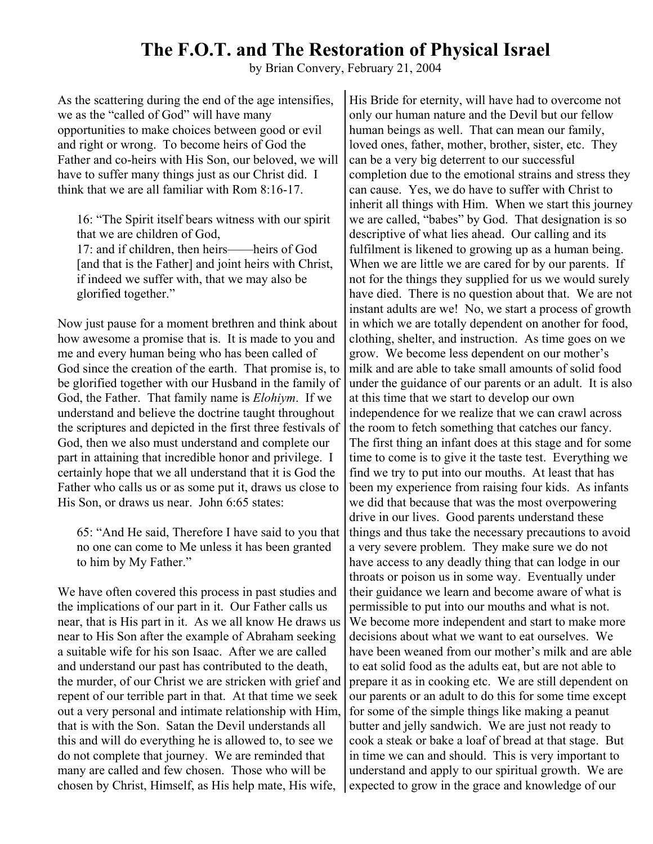## **The F.O.T. and The Restoration of Physical Israel**

by Brian Convery, February 21, 2004

As the scattering during the end of the age intensifies, we as the "called of God" will have many opportunities to make choices between good or evil and right or wrong. To become heirs of God the Father and co-heirs with His Son, our beloved, we will have to suffer many things just as our Christ did. I think that we are all familiar with Rom 8:16-17.

16: "The Spirit itself bears witness with our spirit that we are children of God,

17: and if children, then heirs——heirs of God [and that is the Father] and joint heirs with Christ, if indeed we suffer with, that we may also be glorified together."

Now just pause for a moment brethren and think about how awesome a promise that is. It is made to you and me and every human being who has been called of God since the creation of the earth. That promise is, to be glorified together with our Husband in the family of God, the Father. That family name is *Elohiym*. If we understand and believe the doctrine taught throughout the scriptures and depicted in the first three festivals of God, then we also must understand and complete our part in attaining that incredible honor and privilege. I certainly hope that we all understand that it is God the Father who calls us or as some put it, draws us close to His Son, or draws us near. John 6:65 states:

65: "And He said, Therefore I have said to you that no one can come to Me unless it has been granted to him by My Father."

We have often covered this process in past studies and the implications of our part in it. Our Father calls us near, that is His part in it. As we all know He draws us near to His Son after the example of Abraham seeking a suitable wife for his son Isaac. After we are called and understand our past has contributed to the death, the murder, of our Christ we are stricken with grief and repent of our terrible part in that. At that time we seek out a very personal and intimate relationship with Him, that is with the Son. Satan the Devil understands all this and will do everything he is allowed to, to see we do not complete that journey. We are reminded that many are called and few chosen. Those who will be chosen by Christ, Himself, as His help mate, His wife,

His Bride for eternity, will have had to overcome not only our human nature and the Devil but our fellow human beings as well. That can mean our family, loved ones, father, mother, brother, sister, etc. They can be a very big deterrent to our successful completion due to the emotional strains and stress they can cause. Yes, we do have to suffer with Christ to inherit all things with Him. When we start this journey we are called, "babes" by God. That designation is so descriptive of what lies ahead. Our calling and its fulfilment is likened to growing up as a human being. When we are little we are cared for by our parents. If not for the things they supplied for us we would surely have died. There is no question about that. We are not instant adults are we! No, we start a process of growth in which we are totally dependent on another for food, clothing, shelter, and instruction. As time goes on we grow. We become less dependent on our mother's milk and are able to take small amounts of solid food under the guidance of our parents or an adult. It is also at this time that we start to develop our own independence for we realize that we can crawl across the room to fetch something that catches our fancy. The first thing an infant does at this stage and for some time to come is to give it the taste test. Everything we find we try to put into our mouths. At least that has been my experience from raising four kids. As infants we did that because that was the most overpowering drive in our lives. Good parents understand these things and thus take the necessary precautions to avoid a very severe problem. They make sure we do not have access to any deadly thing that can lodge in our throats or poison us in some way. Eventually under their guidance we learn and become aware of what is permissible to put into our mouths and what is not. We become more independent and start to make more decisions about what we want to eat ourselves. We have been weaned from our mother's milk and are able to eat solid food as the adults eat, but are not able to prepare it as in cooking etc. We are still dependent on our parents or an adult to do this for some time except for some of the simple things like making a peanut butter and jelly sandwich. We are just not ready to cook a steak or bake a loaf of bread at that stage. But in time we can and should. This is very important to understand and apply to our spiritual growth. We are expected to grow in the grace and knowledge of our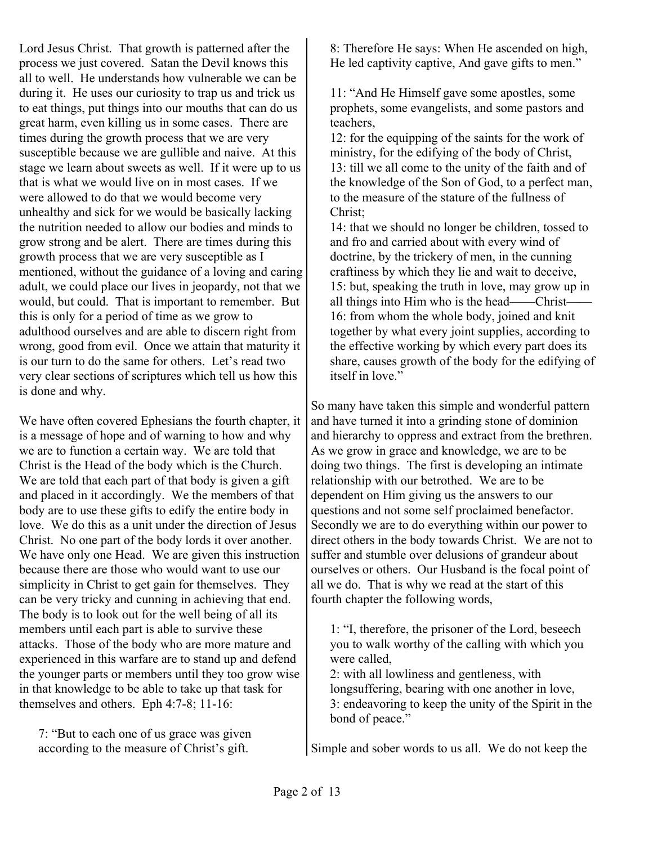Lord Jesus Christ. That growth is patterned after the process we just covered. Satan the Devil knows this all to well. He understands how vulnerable we can be during it. He uses our curiosity to trap us and trick us to eat things, put things into our mouths that can do us great harm, even killing us in some cases. There are times during the growth process that we are very susceptible because we are gullible and naive. At this stage we learn about sweets as well. If it were up to us that is what we would live on in most cases. If we were allowed to do that we would become very unhealthy and sick for we would be basically lacking the nutrition needed to allow our bodies and minds to grow strong and be alert. There are times during this growth process that we are very susceptible as I mentioned, without the guidance of a loving and caring adult, we could place our lives in jeopardy, not that we would, but could. That is important to remember. But this is only for a period of time as we grow to adulthood ourselves and are able to discern right from wrong, good from evil. Once we attain that maturity it is our turn to do the same for others. Let's read two very clear sections of scriptures which tell us how this is done and why.

We have often covered Ephesians the fourth chapter, it is a message of hope and of warning to how and why we are to function a certain way. We are told that Christ is the Head of the body which is the Church. We are told that each part of that body is given a gift and placed in it accordingly. We the members of that body are to use these gifts to edify the entire body in love. We do this as a unit under the direction of Jesus Christ. No one part of the body lords it over another. We have only one Head. We are given this instruction because there are those who would want to use our simplicity in Christ to get gain for themselves. They can be very tricky and cunning in achieving that end. The body is to look out for the well being of all its members until each part is able to survive these attacks. Those of the body who are more mature and experienced in this warfare are to stand up and defend the younger parts or members until they too grow wise in that knowledge to be able to take up that task for themselves and others. Eph 4:7-8; 11-16:

7: "But to each one of us grace was given according to the measure of Christ's gift.

8: Therefore He says: When He ascended on high, He led captivity captive, And gave gifts to men."

11: "And He Himself gave some apostles, some prophets, some evangelists, and some pastors and teachers,

12: for the equipping of the saints for the work of ministry, for the edifying of the body of Christ, 13: till we all come to the unity of the faith and of the knowledge of the Son of God, to a perfect man, to the measure of the stature of the fullness of Christ;

14: that we should no longer be children, tossed to and fro and carried about with every wind of doctrine, by the trickery of men, in the cunning craftiness by which they lie and wait to deceive, 15: but, speaking the truth in love, may grow up in all things into Him who is the head——Christ—— 16: from whom the whole body, joined and knit together by what every joint supplies, according to the effective working by which every part does its share, causes growth of the body for the edifying of itself in love."

So many have taken this simple and wonderful pattern and have turned it into a grinding stone of dominion and hierarchy to oppress and extract from the brethren. As we grow in grace and knowledge, we are to be doing two things. The first is developing an intimate relationship with our betrothed. We are to be dependent on Him giving us the answers to our questions and not some self proclaimed benefactor. Secondly we are to do everything within our power to direct others in the body towards Christ. We are not to suffer and stumble over delusions of grandeur about ourselves or others. Our Husband is the focal point of all we do. That is why we read at the start of this fourth chapter the following words,

1: "I, therefore, the prisoner of the Lord, beseech you to walk worthy of the calling with which you were called,

2: with all lowliness and gentleness, with longsuffering, bearing with one another in love, 3: endeavoring to keep the unity of the Spirit in the bond of peace."

Simple and sober words to us all. We do not keep the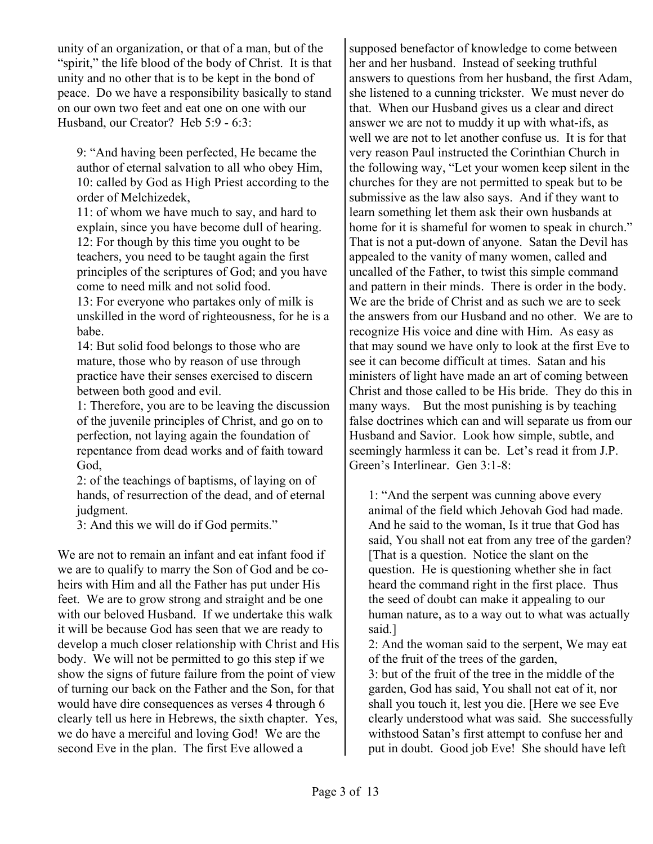unity of an organization, or that of a man, but of the "spirit," the life blood of the body of Christ. It is that unity and no other that is to be kept in the bond of peace. Do we have a responsibility basically to stand on our own two feet and eat one on one with our Husband, our Creator? Heb 5:9 - 6:3:

9: "And having been perfected, He became the author of eternal salvation to all who obey Him, 10: called by God as High Priest according to the order of Melchizedek,

11: of whom we have much to say, and hard to explain, since you have become dull of hearing. 12: For though by this time you ought to be teachers, you need to be taught again the first principles of the scriptures of God; and you have come to need milk and not solid food.

13: For everyone who partakes only of milk is unskilled in the word of righteousness, for he is a babe.

14: But solid food belongs to those who are mature, those who by reason of use through practice have their senses exercised to discern between both good and evil.

1: Therefore, you are to be leaving the discussion of the juvenile principles of Christ, and go on to perfection, not laying again the foundation of repentance from dead works and of faith toward God,

2: of the teachings of baptisms, of laying on of hands, of resurrection of the dead, and of eternal judgment.

3: And this we will do if God permits."

We are not to remain an infant and eat infant food if we are to qualify to marry the Son of God and be coheirs with Him and all the Father has put under His feet. We are to grow strong and straight and be one with our beloved Husband. If we undertake this walk it will be because God has seen that we are ready to develop a much closer relationship with Christ and His body. We will not be permitted to go this step if we show the signs of future failure from the point of view of turning our back on the Father and the Son, for that would have dire consequences as verses 4 through 6 clearly tell us here in Hebrews, the sixth chapter. Yes, we do have a merciful and loving God! We are the second Eve in the plan. The first Eve allowed a

supposed benefactor of knowledge to come between her and her husband. Instead of seeking truthful answers to questions from her husband, the first Adam, she listened to a cunning trickster. We must never do that. When our Husband gives us a clear and direct answer we are not to muddy it up with what-ifs, as well we are not to let another confuse us. It is for that very reason Paul instructed the Corinthian Church in the following way, "Let your women keep silent in the churches for they are not permitted to speak but to be submissive as the law also says. And if they want to learn something let them ask their own husbands at home for it is shameful for women to speak in church." That is not a put-down of anyone. Satan the Devil has appealed to the vanity of many women, called and uncalled of the Father, to twist this simple command and pattern in their minds. There is order in the body. We are the bride of Christ and as such we are to seek the answers from our Husband and no other. We are to recognize His voice and dine with Him. As easy as that may sound we have only to look at the first Eve to see it can become difficult at times. Satan and his ministers of light have made an art of coming between Christ and those called to be His bride. They do this in many ways. But the most punishing is by teaching false doctrines which can and will separate us from our Husband and Savior. Look how simple, subtle, and seemingly harmless it can be. Let's read it from J.P. Green's Interlinear. Gen 3:1-8:

1: "And the serpent was cunning above every animal of the field which Jehovah God had made. And he said to the woman, Is it true that God has said, You shall not eat from any tree of the garden? [That is a question. Notice the slant on the question. He is questioning whether she in fact heard the command right in the first place. Thus the seed of doubt can make it appealing to our human nature, as to a way out to what was actually said.]

2: And the woman said to the serpent, We may eat of the fruit of the trees of the garden,

3: but of the fruit of the tree in the middle of the garden, God has said, You shall not eat of it, nor shall you touch it, lest you die. [Here we see Eve clearly understood what was said. She successfully withstood Satan's first attempt to confuse her and put in doubt. Good job Eve! She should have left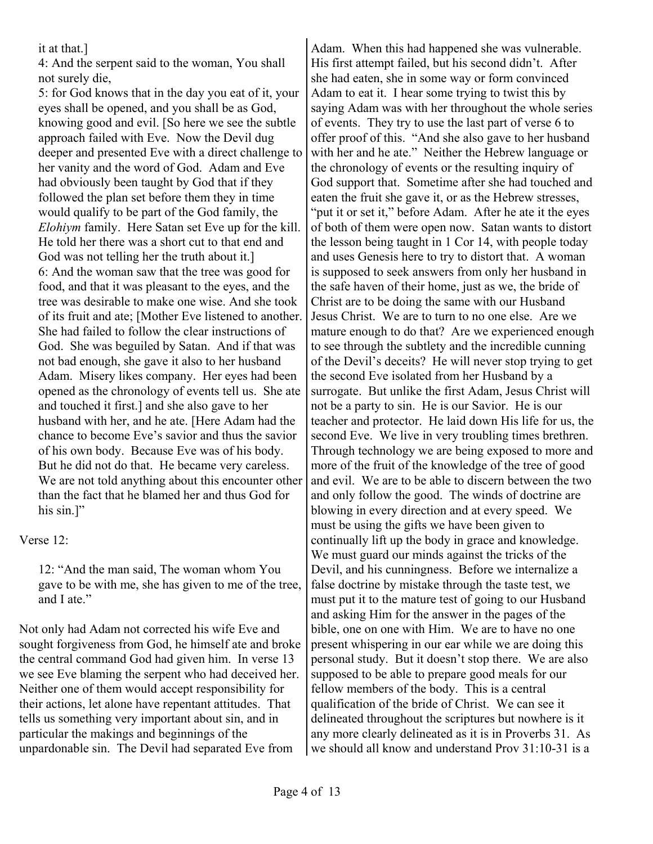## it at that.]

4: And the serpent said to the woman, You shall not surely die,

5: for God knows that in the day you eat of it, your eyes shall be opened, and you shall be as God, knowing good and evil. [So here we see the subtle approach failed with Eve. Now the Devil dug deeper and presented Eve with a direct challenge to her vanity and the word of God. Adam and Eve had obviously been taught by God that if they followed the plan set before them they in time would qualify to be part of the God family, the *Elohiym* family. Here Satan set Eve up for the kill. He told her there was a short cut to that end and God was not telling her the truth about it.] 6: And the woman saw that the tree was good for food, and that it was pleasant to the eyes, and the tree was desirable to make one wise. And she took of its fruit and ate; [Mother Eve listened to another. She had failed to follow the clear instructions of God. She was beguiled by Satan. And if that was not bad enough, she gave it also to her husband Adam. Misery likes company. Her eyes had been opened as the chronology of events tell us. She ate and touched it first.] and she also gave to her husband with her, and he ate. [Here Adam had the chance to become Eve's savior and thus the savior of his own body. Because Eve was of his body. But he did not do that. He became very careless. We are not told anything about this encounter other than the fact that he blamed her and thus God for his sin.]"

## Verse 12:

12: "And the man said, The woman whom You gave to be with me, she has given to me of the tree, and I ate."

Not only had Adam not corrected his wife Eve and sought forgiveness from God, he himself ate and broke the central command God had given him. In verse 13 we see Eve blaming the serpent who had deceived her. Neither one of them would accept responsibility for their actions, let alone have repentant attitudes. That tells us something very important about sin, and in particular the makings and beginnings of the unpardonable sin. The Devil had separated Eve from

Adam. When this had happened she was vulnerable. His first attempt failed, but his second didn't. After she had eaten, she in some way or form convinced Adam to eat it. I hear some trying to twist this by saying Adam was with her throughout the whole series of events. They try to use the last part of verse 6 to offer proof of this. "And she also gave to her husband with her and he ate." Neither the Hebrew language or the chronology of events or the resulting inquiry of God support that. Sometime after she had touched and eaten the fruit she gave it, or as the Hebrew stresses, "put it or set it," before Adam. After he ate it the eyes of both of them were open now. Satan wants to distort the lesson being taught in 1 Cor 14, with people today and uses Genesis here to try to distort that. A woman is supposed to seek answers from only her husband in the safe haven of their home, just as we, the bride of Christ are to be doing the same with our Husband Jesus Christ. We are to turn to no one else. Are we mature enough to do that? Are we experienced enough to see through the subtlety and the incredible cunning of the Devil's deceits? He will never stop trying to get the second Eve isolated from her Husband by a surrogate. But unlike the first Adam, Jesus Christ will not be a party to sin. He is our Savior. He is our teacher and protector. He laid down His life for us, the second Eve. We live in very troubling times brethren. Through technology we are being exposed to more and more of the fruit of the knowledge of the tree of good and evil. We are to be able to discern between the two and only follow the good. The winds of doctrine are blowing in every direction and at every speed. We must be using the gifts we have been given to continually lift up the body in grace and knowledge. We must guard our minds against the tricks of the Devil, and his cunningness. Before we internalize a false doctrine by mistake through the taste test, we must put it to the mature test of going to our Husband and asking Him for the answer in the pages of the bible, one on one with Him. We are to have no one present whispering in our ear while we are doing this personal study. But it doesn't stop there. We are also supposed to be able to prepare good meals for our fellow members of the body. This is a central qualification of the bride of Christ. We can see it delineated throughout the scriptures but nowhere is it any more clearly delineated as it is in Proverbs 31. As we should all know and understand Prov 31:10-31 is a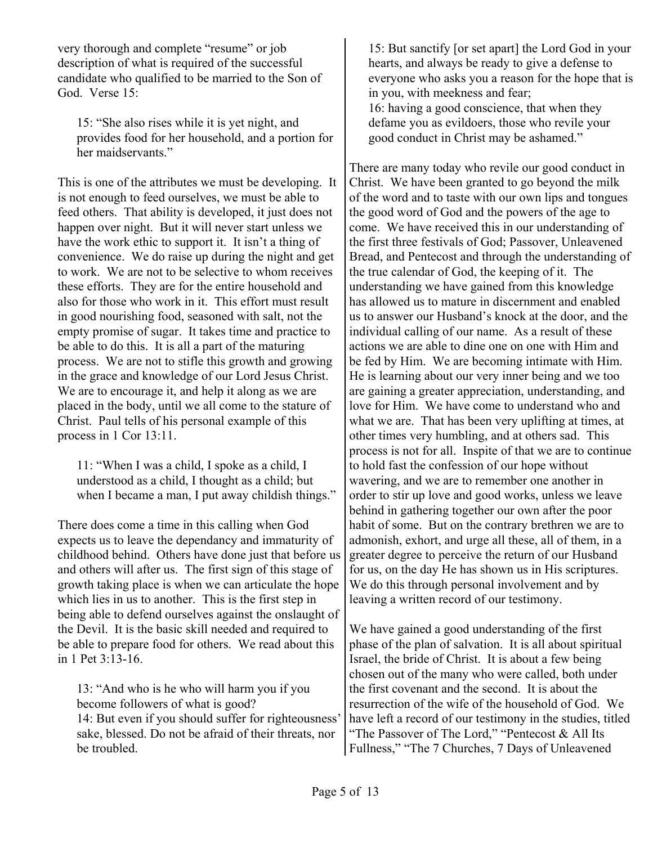very thorough and complete "resume" or job description of what is required of the successful candidate who qualified to be married to the Son of God. Verse 15:

15: "She also rises while it is yet night, and provides food for her household, and a portion for her maidservants."

This is one of the attributes we must be developing. It is not enough to feed ourselves, we must be able to feed others. That ability is developed, it just does not happen over night. But it will never start unless we have the work ethic to support it. It isn't a thing of convenience. We do raise up during the night and get to work. We are not to be selective to whom receives these efforts. They are for the entire household and also for those who work in it. This effort must result in good nourishing food, seasoned with salt, not the empty promise of sugar. It takes time and practice to be able to do this. It is all a part of the maturing process. We are not to stifle this growth and growing in the grace and knowledge of our Lord Jesus Christ. We are to encourage it, and help it along as we are placed in the body, until we all come to the stature of Christ. Paul tells of his personal example of this process in 1 Cor 13:11.

11: "When I was a child, I spoke as a child, I understood as a child, I thought as a child; but when I became a man, I put away childish things."

There does come a time in this calling when God expects us to leave the dependancy and immaturity of childhood behind. Others have done just that before us and others will after us. The first sign of this stage of growth taking place is when we can articulate the hope which lies in us to another. This is the first step in being able to defend ourselves against the onslaught of the Devil. It is the basic skill needed and required to be able to prepare food for others. We read about this in 1 Pet 3:13-16.

13: "And who is he who will harm you if you become followers of what is good? 14: But even if you should suffer for righteousness' sake, blessed. Do not be afraid of their threats, nor be troubled.

15: But sanctify [or set apart] the Lord God in your hearts, and always be ready to give a defense to everyone who asks you a reason for the hope that is in you, with meekness and fear; 16: having a good conscience, that when they defame you as evildoers, those who revile your good conduct in Christ may be ashamed."

There are many today who revile our good conduct in Christ. We have been granted to go beyond the milk of the word and to taste with our own lips and tongues the good word of God and the powers of the age to come. We have received this in our understanding of the first three festivals of God; Passover, Unleavened Bread, and Pentecost and through the understanding of the true calendar of God, the keeping of it. The understanding we have gained from this knowledge has allowed us to mature in discernment and enabled us to answer our Husband's knock at the door, and the individual calling of our name. As a result of these actions we are able to dine one on one with Him and be fed by Him. We are becoming intimate with Him. He is learning about our very inner being and we too are gaining a greater appreciation, understanding, and love for Him. We have come to understand who and what we are. That has been very uplifting at times, at other times very humbling, and at others sad. This process is not for all. Inspite of that we are to continue to hold fast the confession of our hope without wavering, and we are to remember one another in order to stir up love and good works, unless we leave behind in gathering together our own after the poor habit of some. But on the contrary brethren we are to admonish, exhort, and urge all these, all of them, in a greater degree to perceive the return of our Husband for us, on the day He has shown us in His scriptures. We do this through personal involvement and by leaving a written record of our testimony.

We have gained a good understanding of the first phase of the plan of salvation. It is all about spiritual Israel, the bride of Christ. It is about a few being chosen out of the many who were called, both under the first covenant and the second. It is about the resurrection of the wife of the household of God. We have left a record of our testimony in the studies, titled "The Passover of The Lord," "Pentecost & All Its Fullness," "The 7 Churches, 7 Days of Unleavened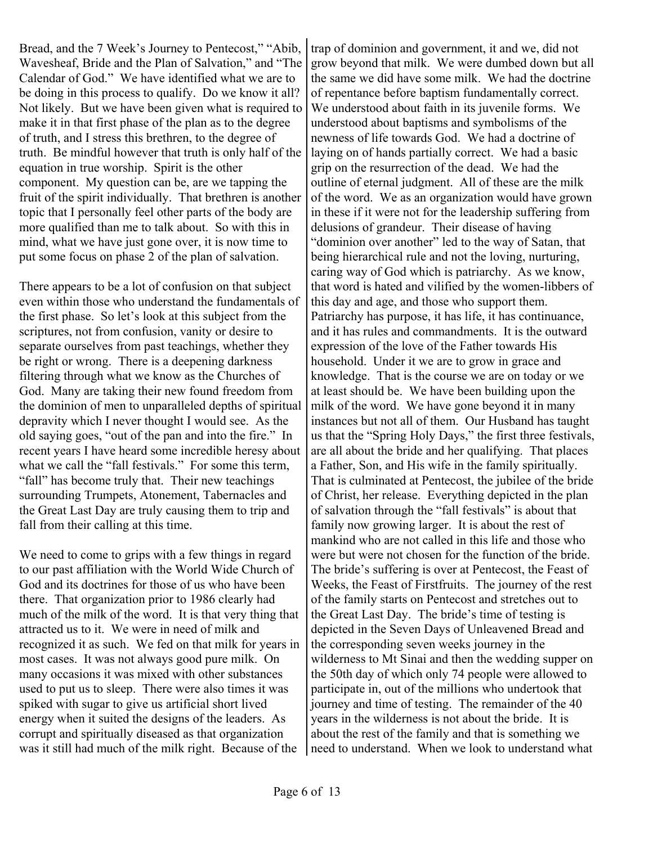Bread, and the 7 Week's Journey to Pentecost," "Abib, Wavesheaf, Bride and the Plan of Salvation," and "The Calendar of God." We have identified what we are to be doing in this process to qualify. Do we know it all? Not likely. But we have been given what is required to make it in that first phase of the plan as to the degree of truth, and I stress this brethren, to the degree of truth. Be mindful however that truth is only half of the equation in true worship. Spirit is the other component. My question can be, are we tapping the fruit of the spirit individually. That brethren is another topic that I personally feel other parts of the body are more qualified than me to talk about. So with this in mind, what we have just gone over, it is now time to put some focus on phase 2 of the plan of salvation.

There appears to be a lot of confusion on that subject even within those who understand the fundamentals of the first phase. So let's look at this subject from the scriptures, not from confusion, vanity or desire to separate ourselves from past teachings, whether they be right or wrong. There is a deepening darkness filtering through what we know as the Churches of God. Many are taking their new found freedom from the dominion of men to unparalleled depths of spiritual depravity which I never thought I would see. As the old saying goes, "out of the pan and into the fire." In recent years I have heard some incredible heresy about what we call the "fall festivals." For some this term, "fall" has become truly that. Their new teachings surrounding Trumpets, Atonement, Tabernacles and the Great Last Day are truly causing them to trip and fall from their calling at this time.

We need to come to grips with a few things in regard to our past affiliation with the World Wide Church of God and its doctrines for those of us who have been there. That organization prior to 1986 clearly had much of the milk of the word. It is that very thing that attracted us to it. We were in need of milk and recognized it as such. We fed on that milk for years in most cases. It was not always good pure milk. On many occasions it was mixed with other substances used to put us to sleep. There were also times it was spiked with sugar to give us artificial short lived energy when it suited the designs of the leaders. As corrupt and spiritually diseased as that organization was it still had much of the milk right. Because of the

trap of dominion and government, it and we, did not grow beyond that milk. We were dumbed down but all the same we did have some milk. We had the doctrine of repentance before baptism fundamentally correct. We understood about faith in its juvenile forms. We understood about baptisms and symbolisms of the newness of life towards God. We had a doctrine of laying on of hands partially correct. We had a basic grip on the resurrection of the dead. We had the outline of eternal judgment. All of these are the milk of the word. We as an organization would have grown in these if it were not for the leadership suffering from delusions of grandeur. Their disease of having "dominion over another" led to the way of Satan, that being hierarchical rule and not the loving, nurturing, caring way of God which is patriarchy. As we know, that word is hated and vilified by the women-libbers of this day and age, and those who support them. Patriarchy has purpose, it has life, it has continuance, and it has rules and commandments. It is the outward expression of the love of the Father towards His household. Under it we are to grow in grace and knowledge. That is the course we are on today or we at least should be. We have been building upon the milk of the word. We have gone beyond it in many instances but not all of them. Our Husband has taught us that the "Spring Holy Days," the first three festivals, are all about the bride and her qualifying. That places a Father, Son, and His wife in the family spiritually. That is culminated at Pentecost, the jubilee of the bride of Christ, her release. Everything depicted in the plan of salvation through the "fall festivals" is about that family now growing larger. It is about the rest of mankind who are not called in this life and those who were but were not chosen for the function of the bride. The bride's suffering is over at Pentecost, the Feast of Weeks, the Feast of Firstfruits. The journey of the rest of the family starts on Pentecost and stretches out to the Great Last Day. The bride's time of testing is depicted in the Seven Days of Unleavened Bread and the corresponding seven weeks journey in the wilderness to Mt Sinai and then the wedding supper on the 50th day of which only 74 people were allowed to participate in, out of the millions who undertook that journey and time of testing. The remainder of the 40 years in the wilderness is not about the bride. It is about the rest of the family and that is something we need to understand. When we look to understand what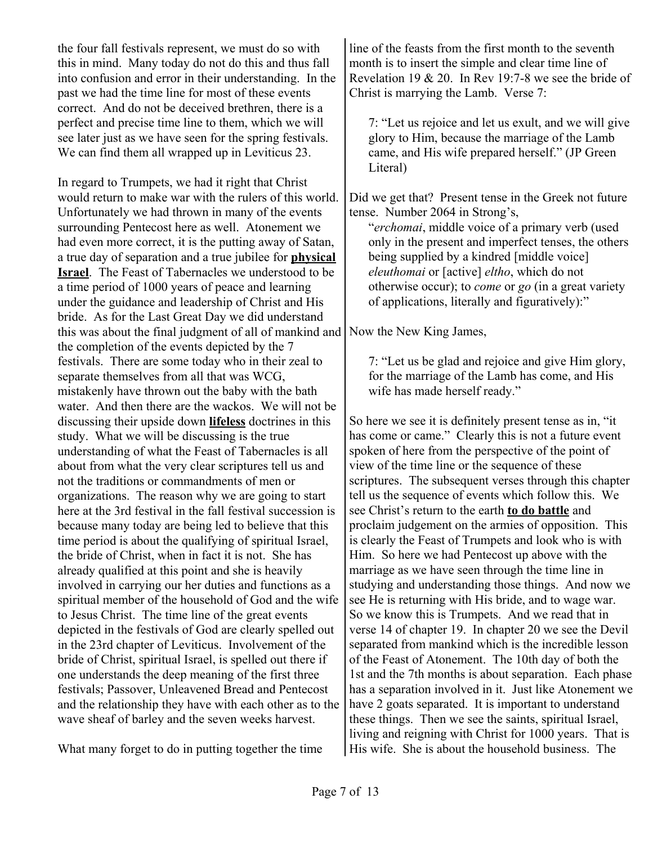the four fall festivals represent, we must do so with this in mind. Many today do not do this and thus fall into confusion and error in their understanding. In the past we had the time line for most of these events correct. And do not be deceived brethren, there is a perfect and precise time line to them, which we will see later just as we have seen for the spring festivals. We can find them all wrapped up in Leviticus 23.

In regard to Trumpets, we had it right that Christ would return to make war with the rulers of this world. Unfortunately we had thrown in many of the events surrounding Pentecost here as well. Atonement we had even more correct, it is the putting away of Satan, a true day of separation and a true jubilee for **physical Israel**. The Feast of Tabernacles we understood to be a time period of 1000 years of peace and learning under the guidance and leadership of Christ and His bride. As for the Last Great Day we did understand this was about the final judgment of all of mankind and the completion of the events depicted by the 7 festivals. There are some today who in their zeal to separate themselves from all that was WCG, mistakenly have thrown out the baby with the bath water. And then there are the wackos. We will not be discussing their upside down **lifeless** doctrines in this study. What we will be discussing is the true understanding of what the Feast of Tabernacles is all about from what the very clear scriptures tell us and not the traditions or commandments of men or organizations. The reason why we are going to start here at the 3rd festival in the fall festival succession is because many today are being led to believe that this time period is about the qualifying of spiritual Israel, the bride of Christ, when in fact it is not. She has already qualified at this point and she is heavily involved in carrying our her duties and functions as a spiritual member of the household of God and the wife to Jesus Christ. The time line of the great events depicted in the festivals of God are clearly spelled out in the 23rd chapter of Leviticus. Involvement of the bride of Christ, spiritual Israel, is spelled out there if one understands the deep meaning of the first three festivals; Passover, Unleavened Bread and Pentecost and the relationship they have with each other as to the wave sheaf of barley and the seven weeks harvest.

What many forget to do in putting together the time

line of the feasts from the first month to the seventh month is to insert the simple and clear time line of Revelation 19 & 20. In Rev 19:7-8 we see the bride of Christ is marrying the Lamb. Verse 7:

7: "Let us rejoice and let us exult, and we will give glory to Him, because the marriage of the Lamb came, and His wife prepared herself." (JP Green Literal)

Did we get that? Present tense in the Greek not future tense. Number 2064 in Strong's,

"*erchomai*, middle voice of a primary verb (used only in the present and imperfect tenses, the others being supplied by a kindred [middle voice] *eleuthomai* or [active] *eltho*, which do not otherwise occur); to *come* or *go* (in a great variety of applications, literally and figuratively):"

Now the New King James,

7: "Let us be glad and rejoice and give Him glory, for the marriage of the Lamb has come, and His wife has made herself ready."

So here we see it is definitely present tense as in, "it has come or came." Clearly this is not a future event spoken of here from the perspective of the point of view of the time line or the sequence of these scriptures. The subsequent verses through this chapter tell us the sequence of events which follow this. We see Christ's return to the earth **to do battle** and proclaim judgement on the armies of opposition. This is clearly the Feast of Trumpets and look who is with Him. So here we had Pentecost up above with the marriage as we have seen through the time line in studying and understanding those things. And now we see He is returning with His bride, and to wage war. So we know this is Trumpets. And we read that in verse 14 of chapter 19. In chapter 20 we see the Devil separated from mankind which is the incredible lesson of the Feast of Atonement. The 10th day of both the 1st and the 7th months is about separation. Each phase has a separation involved in it. Just like Atonement we have 2 goats separated. It is important to understand these things. Then we see the saints, spiritual Israel, living and reigning with Christ for 1000 years. That is His wife. She is about the household business. The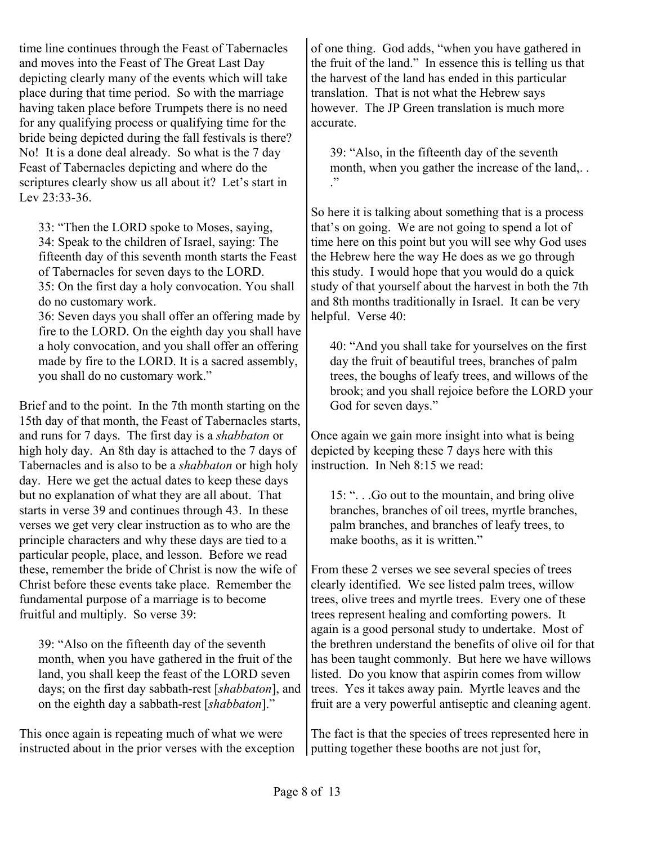time line continues through the Feast of Tabernacles and moves into the Feast of The Great Last Day depicting clearly many of the events which will take place during that time period. So with the marriage having taken place before Trumpets there is no need for any qualifying process or qualifying time for the bride being depicted during the fall festivals is there? No! It is a done deal already. So what is the 7 day Feast of Tabernacles depicting and where do the scriptures clearly show us all about it? Let's start in Lev 23:33-36.

33: "Then the LORD spoke to Moses, saying, 34: Speak to the children of Israel, saying: The fifteenth day of this seventh month starts the Feast of Tabernacles for seven days to the LORD. 35: On the first day a holy convocation. You shall

do no customary work. 36: Seven days you shall offer an offering made by

fire to the LORD. On the eighth day you shall have a holy convocation, and you shall offer an offering made by fire to the LORD. It is a sacred assembly, you shall do no customary work."

Brief and to the point. In the 7th month starting on the 15th day of that month, the Feast of Tabernacles starts, and runs for 7 days. The first day is a *shabbaton* or high holy day. An 8th day is attached to the 7 days of Tabernacles and is also to be a *shabbaton* or high holy day. Here we get the actual dates to keep these days but no explanation of what they are all about. That starts in verse 39 and continues through 43. In these verses we get very clear instruction as to who are the principle characters and why these days are tied to a particular people, place, and lesson. Before we read these, remember the bride of Christ is now the wife of Christ before these events take place. Remember the fundamental purpose of a marriage is to become fruitful and multiply. So verse 39:

39: "Also on the fifteenth day of the seventh month, when you have gathered in the fruit of the land, you shall keep the feast of the LORD seven days; on the first day sabbath-rest [*shabbaton*], and on the eighth day a sabbath-rest [*shabbaton*]."

This once again is repeating much of what we were instructed about in the prior verses with the exception of one thing. God adds, "when you have gathered in the fruit of the land." In essence this is telling us that the harvest of the land has ended in this particular translation. That is not what the Hebrew says however. The JP Green translation is much more accurate.

39: "Also, in the fifteenth day of the seventh month, when you gather the increase of the land,... ."

So here it is talking about something that is a process that's on going. We are not going to spend a lot of time here on this point but you will see why God uses the Hebrew here the way He does as we go through this study. I would hope that you would do a quick study of that yourself about the harvest in both the 7th and 8th months traditionally in Israel. It can be very helpful. Verse 40:

40: "And you shall take for yourselves on the first day the fruit of beautiful trees, branches of palm trees, the boughs of leafy trees, and willows of the brook; and you shall rejoice before the LORD your God for seven days."

Once again we gain more insight into what is being depicted by keeping these 7 days here with this instruction. In Neh 8:15 we read:

15: ". . .Go out to the mountain, and bring olive branches, branches of oil trees, myrtle branches, palm branches, and branches of leafy trees, to make booths, as it is written."

From these 2 verses we see several species of trees clearly identified. We see listed palm trees, willow trees, olive trees and myrtle trees. Every one of these trees represent healing and comforting powers. It again is a good personal study to undertake. Most of the brethren understand the benefits of olive oil for that has been taught commonly. But here we have willows listed. Do you know that aspirin comes from willow trees. Yes it takes away pain. Myrtle leaves and the fruit are a very powerful antiseptic and cleaning agent.

The fact is that the species of trees represented here in putting together these booths are not just for,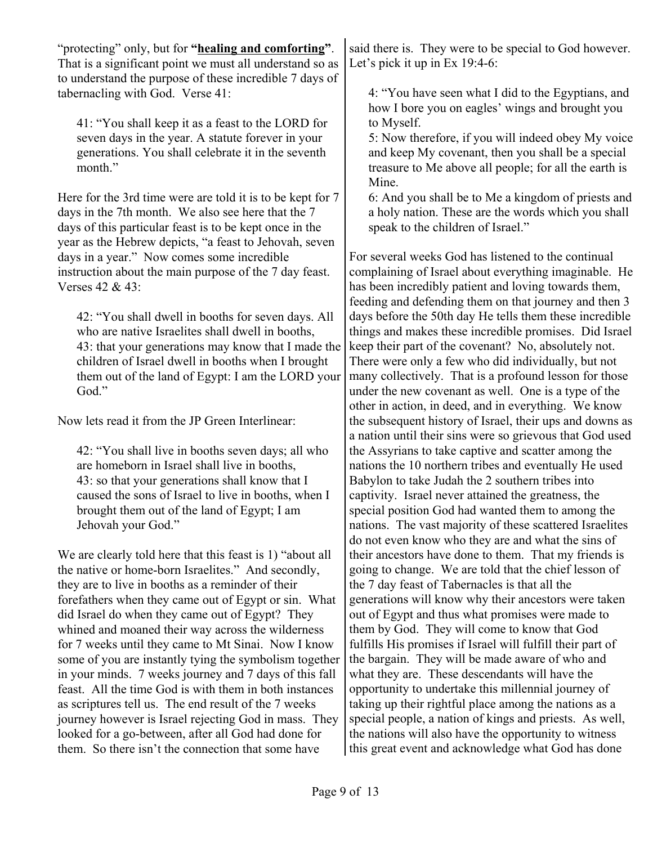"protecting" only, but for **"healing and comforting"**. That is a significant point we must all understand so as to understand the purpose of these incredible 7 days of tabernacling with God. Verse 41:

41: "You shall keep it as a feast to the LORD for seven days in the year. A statute forever in your generations. You shall celebrate it in the seventh month."

Here for the 3rd time were are told it is to be kept for 7 days in the 7th month. We also see here that the 7 days of this particular feast is to be kept once in the year as the Hebrew depicts, "a feast to Jehovah, seven days in a year." Now comes some incredible instruction about the main purpose of the 7 day feast. Verses 42 & 43:

42: "You shall dwell in booths for seven days. All who are native Israelites shall dwell in booths, 43: that your generations may know that I made the children of Israel dwell in booths when I brought them out of the land of Egypt: I am the LORD your God."

Now lets read it from the JP Green Interlinear:

42: "You shall live in booths seven days; all who are homeborn in Israel shall live in booths, 43: so that your generations shall know that I caused the sons of Israel to live in booths, when I brought them out of the land of Egypt; I am Jehovah your God."

We are clearly told here that this feast is 1) "about all the native or home-born Israelites." And secondly, they are to live in booths as a reminder of their forefathers when they came out of Egypt or sin. What did Israel do when they came out of Egypt? They whined and moaned their way across the wilderness for 7 weeks until they came to Mt Sinai. Now I know some of you are instantly tying the symbolism together in your minds. 7 weeks journey and 7 days of this fall feast. All the time God is with them in both instances as scriptures tell us. The end result of the 7 weeks journey however is Israel rejecting God in mass. They looked for a go-between, after all God had done for them. So there isn't the connection that some have

said there is. They were to be special to God however. Let's pick it up in Ex 19:4-6:

4: "You have seen what I did to the Egyptians, and how I bore you on eagles' wings and brought you to Myself.

5: Now therefore, if you will indeed obey My voice and keep My covenant, then you shall be a special treasure to Me above all people; for all the earth is Mine.

6: And you shall be to Me a kingdom of priests and a holy nation. These are the words which you shall speak to the children of Israel."

For several weeks God has listened to the continual complaining of Israel about everything imaginable. He has been incredibly patient and loving towards them, feeding and defending them on that journey and then 3 days before the 50th day He tells them these incredible things and makes these incredible promises. Did Israel keep their part of the covenant? No, absolutely not. There were only a few who did individually, but not many collectively. That is a profound lesson for those under the new covenant as well. One is a type of the other in action, in deed, and in everything. We know the subsequent history of Israel, their ups and downs as a nation until their sins were so grievous that God used the Assyrians to take captive and scatter among the nations the 10 northern tribes and eventually He used Babylon to take Judah the 2 southern tribes into captivity. Israel never attained the greatness, the special position God had wanted them to among the nations. The vast majority of these scattered Israelites do not even know who they are and what the sins of their ancestors have done to them. That my friends is going to change. We are told that the chief lesson of the 7 day feast of Tabernacles is that all the generations will know why their ancestors were taken out of Egypt and thus what promises were made to them by God. They will come to know that God fulfills His promises if Israel will fulfill their part of the bargain. They will be made aware of who and what they are. These descendants will have the opportunity to undertake this millennial journey of taking up their rightful place among the nations as a special people, a nation of kings and priests. As well, the nations will also have the opportunity to witness this great event and acknowledge what God has done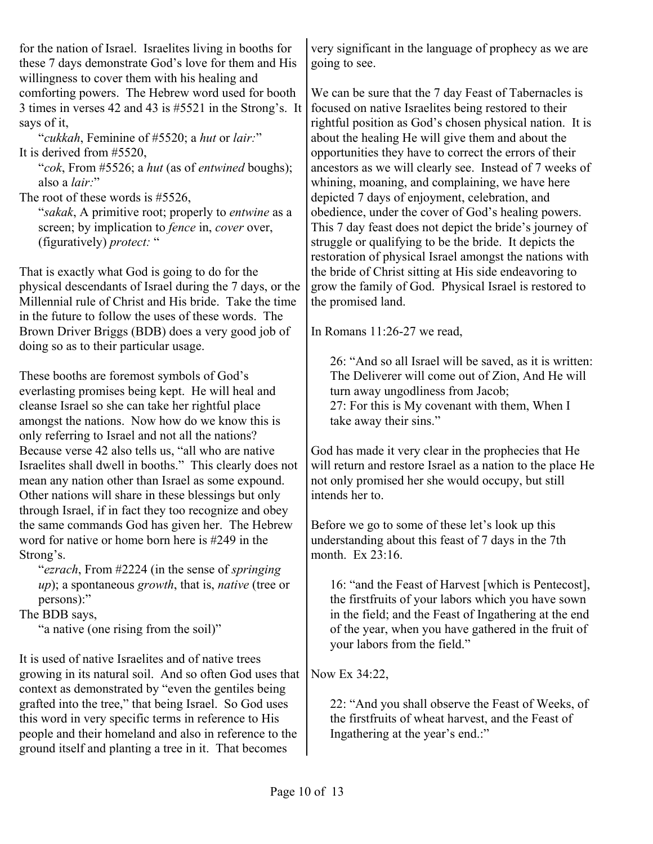for the nation of Israel. Israelites living in booths for these 7 days demonstrate God's love for them and His willingness to cover them with his healing and comforting powers. The Hebrew word used for booth 3 times in verses 42 and 43 is #5521 in the Strong's. It says of it,

"*cukkah*, Feminine of #5520; a *hut* or *lair:*" It is derived from #5520,

"*cok*, From #5526; a *hut* (as of *entwined* boughs); also a *lair:*"

The root of these words is #5526,

"*sakak*, A primitive root; properly to *entwine* as a screen; by implication to *fence* in, *cover* over, (figuratively) *protect:* "

That is exactly what God is going to do for the physical descendants of Israel during the 7 days, or the Millennial rule of Christ and His bride. Take the time in the future to follow the uses of these words. The Brown Driver Briggs (BDB) does a very good job of doing so as to their particular usage.

These booths are foremost symbols of God's everlasting promises being kept. He will heal and cleanse Israel so she can take her rightful place amongst the nations. Now how do we know this is only referring to Israel and not all the nations? Because verse 42 also tells us, "all who are native Israelites shall dwell in booths." This clearly does not mean any nation other than Israel as some expound. Other nations will share in these blessings but only through Israel, if in fact they too recognize and obey the same commands God has given her. The Hebrew word for native or home born here is #249 in the Strong's.

"*ezrach*, From #2224 (in the sense of *springing up*); a spontaneous *growth*, that is, *native* (tree or persons):"

The BDB says,

"a native (one rising from the soil)"

It is used of native Israelites and of native trees growing in its natural soil. And so often God uses that context as demonstrated by "even the gentiles being grafted into the tree," that being Israel. So God uses this word in very specific terms in reference to His people and their homeland and also in reference to the ground itself and planting a tree in it. That becomes

very significant in the language of prophecy as we are going to see.

We can be sure that the 7 day Feast of Tabernacles is focused on native Israelites being restored to their rightful position as God's chosen physical nation. It is about the healing He will give them and about the opportunities they have to correct the errors of their ancestors as we will clearly see. Instead of 7 weeks of whining, moaning, and complaining, we have here depicted 7 days of enjoyment, celebration, and obedience, under the cover of God's healing powers. This 7 day feast does not depict the bride's journey of struggle or qualifying to be the bride. It depicts the restoration of physical Israel amongst the nations with the bride of Christ sitting at His side endeavoring to grow the family of God. Physical Israel is restored to the promised land.

In Romans 11:26-27 we read,

26: "And so all Israel will be saved, as it is written: The Deliverer will come out of Zion, And He will turn away ungodliness from Jacob; 27: For this is My covenant with them, When I take away their sins."

God has made it very clear in the prophecies that He will return and restore Israel as a nation to the place He not only promised her she would occupy, but still intends her to.

Before we go to some of these let's look up this understanding about this feast of 7 days in the 7th month. Ex  $23.16$ .

16: "and the Feast of Harvest [which is Pentecost], the firstfruits of your labors which you have sown in the field; and the Feast of Ingathering at the end of the year, when you have gathered in the fruit of your labors from the field."

Now Ex 34:22,

22: "And you shall observe the Feast of Weeks, of the firstfruits of wheat harvest, and the Feast of Ingathering at the year's end.:"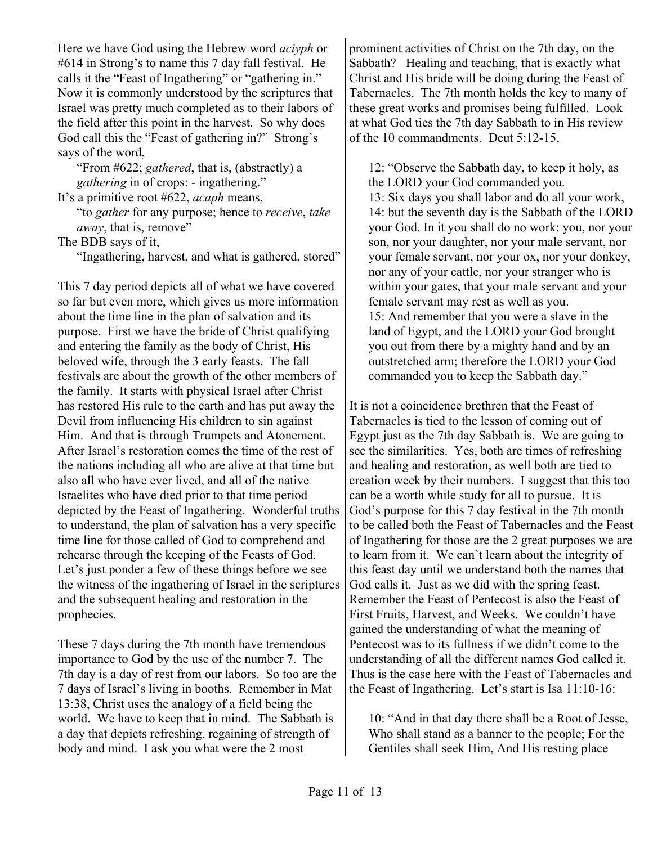Here we have God using the Hebrew word *aciyph* or #614 in Strong's to name this 7 day fall festival. He calls it the "Feast of Ingathering" or "gathering in." Now it is commonly understood by the scriptures that Israel was pretty much completed as to their labors of the field after this point in the harvest. So why does God call this the "Feast of gathering in?" Strong's says of the word,

"From #622; *gathered*, that is, (abstractly) a *gathering* in of crops: - ingathering."

It's a primitive root #622, *acaph* means, "to *gather* for any purpose; hence to *receive*, *take*

*away*, that is, remove"

The BDB says of it,

"Ingathering, harvest, and what is gathered, stored"

This 7 day period depicts all of what we have covered so far but even more, which gives us more information about the time line in the plan of salvation and its purpose. First we have the bride of Christ qualifying and entering the family as the body of Christ, His beloved wife, through the 3 early feasts. The fall festivals are about the growth of the other members of the family. It starts with physical Israel after Christ has restored His rule to the earth and has put away the Devil from influencing His children to sin against Him. And that is through Trumpets and Atonement. After Israel's restoration comes the time of the rest of the nations including all who are alive at that time but also all who have ever lived, and all of the native Israelites who have died prior to that time period depicted by the Feast of Ingathering. Wonderful truths to understand, the plan of salvation has a very specific time line for those called of God to comprehend and rehearse through the keeping of the Feasts of God. Let's just ponder a few of these things before we see the witness of the ingathering of Israel in the scriptures and the subsequent healing and restoration in the prophecies.

These 7 days during the 7th month have tremendous importance to God by the use of the number 7. The 7th day is a day of rest from our labors. So too are the 7 days of Israel's living in booths. Remember in Mat 13:38, Christ uses the analogy of a field being the world. We have to keep that in mind. The Sabbath is a day that depicts refreshing, regaining of strength of body and mind. I ask you what were the 2 most

prominent activities of Christ on the 7th day, on the Sabbath? Healing and teaching, that is exactly what Christ and His bride will be doing during the Feast of Tabernacles. The 7th month holds the key to many of these great works and promises being fulfilled. Look at what God ties the 7th day Sabbath to in His review of the 10 commandments. Deut 5:12-15,

12: "Observe the Sabbath day, to keep it holy, as the LORD your God commanded you. 13: Six days you shall labor and do all your work, 14: but the seventh day is the Sabbath of the LORD your God. In it you shall do no work: you, nor your son, nor your daughter, nor your male servant, nor your female servant, nor your ox, nor your donkey, nor any of your cattle, nor your stranger who is within your gates, that your male servant and your female servant may rest as well as you. 15: And remember that you were a slave in the land of Egypt, and the LORD your God brought you out from there by a mighty hand and by an outstretched arm; therefore the LORD your God commanded you to keep the Sabbath day."

It is not a coincidence brethren that the Feast of Tabernacles is tied to the lesson of coming out of Egypt just as the 7th day Sabbath is. We are going to see the similarities. Yes, both are times of refreshing and healing and restoration, as well both are tied to creation week by their numbers. I suggest that this too can be a worth while study for all to pursue. It is God's purpose for this 7 day festival in the 7th month to be called both the Feast of Tabernacles and the Feast of Ingathering for those are the 2 great purposes we are to learn from it. We can't learn about the integrity of this feast day until we understand both the names that God calls it. Just as we did with the spring feast. Remember the Feast of Pentecost is also the Feast of First Fruits, Harvest, and Weeks. We couldn't have gained the understanding of what the meaning of Pentecost was to its fullness if we didn't come to the understanding of all the different names God called it. Thus is the case here with the Feast of Tabernacles and the Feast of Ingathering. Let's start is Isa 11:10-16:

10: "And in that day there shall be a Root of Jesse, Who shall stand as a banner to the people; For the Gentiles shall seek Him, And His resting place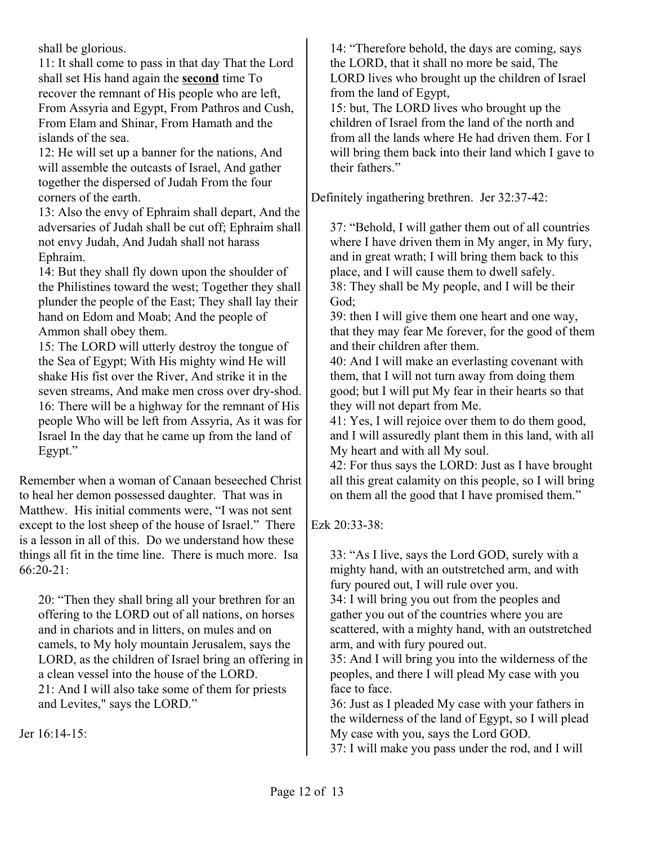shall be glorious.

11: It shall come to pass in that day That the Lord shall set His hand again the **second** time To recover the remnant of His people who are left, From Assyria and Egypt, From Pathros and Cush, From Elam and Shinar, From Hamath and the islands of the sea.

12: He will set up a banner for the nations, And will assemble the outcasts of Israel, And gather together the dispersed of Judah From the four corners of the earth.

13: Also the envy of Ephraim shall depart, And the adversaries of Judah shall be cut off; Ephraim shall not envy Judah, And Judah shall not harass Ephraim.

14: But they shall fly down upon the shoulder of the Philistines toward the west; Together they shall plunder the people of the East; They shall lay their hand on Edom and Moab; And the people of Ammon shall obey them.

15: The LORD will utterly destroy the tongue of the Sea of Egypt; With His mighty wind He will shake His fist over the River, And strike it in the seven streams, And make men cross over dry-shod. 16: There will be a highway for the remnant of His people Who will be left from Assyria, As it was for Israel In the day that he came up from the land of Egypt."

Remember when a woman of Canaan beseeched Christ to heal her demon possessed daughter. That was in Matthew. His initial comments were, "I was not sent except to the lost sheep of the house of Israel." There is a lesson in all of this. Do we understand how these things all fit in the time line. There is much more. Isa  $66:20-21$ :

20: "Then they shall bring all your brethren for an offering to the LORD out of all nations, on horses and in chariots and in litters, on mules and on camels, to My holy mountain Jerusalem, says the LORD, as the children of Israel bring an offering in a clean vessel into the house of the LORD. 21: And I will also take some of them for priests and Levites," says the LORD."

Jer 16:14-15:

14: "Therefore behold, the days are coming, says the LORD, that it shall no more be said, The LORD lives who brought up the children of Israel from the land of Egypt,

15: but, The LORD lives who brought up the children of Israel from the land of the north and from all the lands where He had driven them. For I will bring them back into their land which I gave to their fathers."

Definitely ingathering brethren. Jer 32:37-42:

37: "Behold, I will gather them out of all countries where I have driven them in My anger, in My fury, and in great wrath; I will bring them back to this place, and I will cause them to dwell safely. 38: They shall be My people, and I will be their God;

39: then I will give them one heart and one way, that they may fear Me forever, for the good of them and their children after them.

40: And I will make an everlasting covenant with them, that I will not turn away from doing them good; but I will put My fear in their hearts so that they will not depart from Me.

41: Yes, I will rejoice over them to do them good, and I will assuredly plant them in this land, with all My heart and with all My soul.

42: For thus says the LORD: Just as I have brought all this great calamity on this people, so I will bring on them all the good that I have promised them."

Ezk 20:33-38:

33: "As I live, says the Lord GOD, surely with a mighty hand, with an outstretched arm, and with fury poured out, I will rule over you.

34: I will bring you out from the peoples and gather you out of the countries where you are scattered, with a mighty hand, with an outstretched arm, and with fury poured out.

35: And I will bring you into the wilderness of the peoples, and there I will plead My case with you face to face.

36: Just as I pleaded My case with your fathers in the wilderness of the land of Egypt, so I will plead My case with you, says the Lord GOD.

37: I will make you pass under the rod, and I will